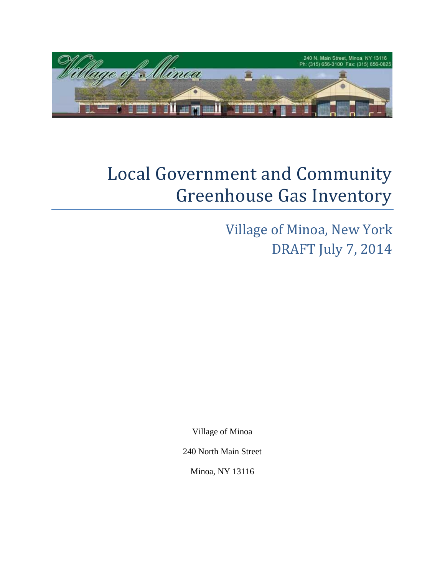

# Local Government and Community Greenhouse Gas Inventory

Village of Minoa, New York DRAFT July 7, 2014

Village of Minoa

240 North Main Street

Minoa, NY 13116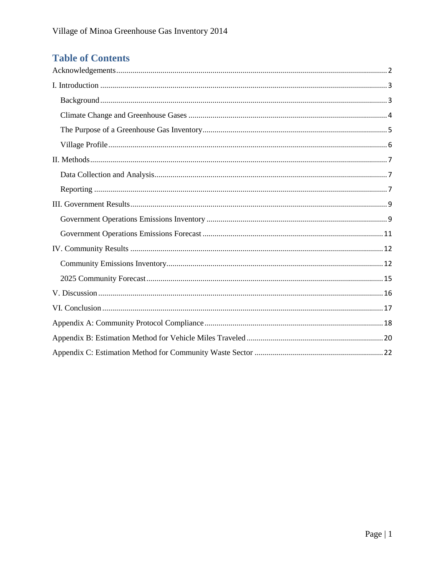## **Table of Contents**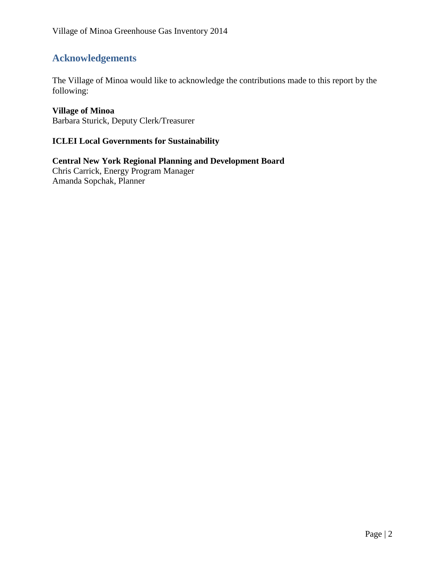## <span id="page-2-0"></span>**Acknowledgements**

The Village of Minoa would like to acknowledge the contributions made to this report by the following:

#### **Village of Minoa**

Barbara Sturick, Deputy Clerk/Treasurer

#### **ICLEI Local Governments for Sustainability**

**Central New York Regional Planning and Development Board** Chris Carrick, Energy Program Manager Amanda Sopchak, Planner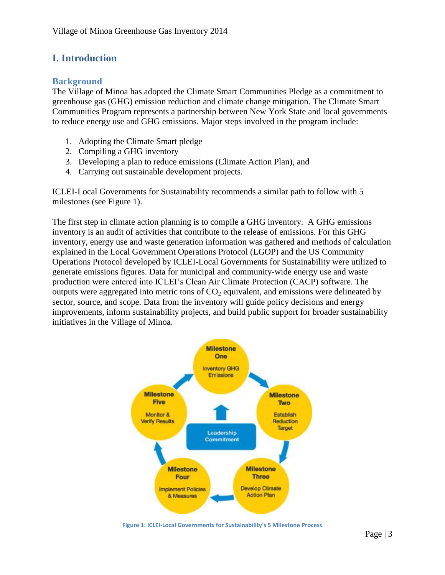## <span id="page-3-0"></span>**I. Introduction**

#### <span id="page-3-1"></span>**Background**

The Village of Minoa has adopted the Climate Smart Communities Pledge as a commitment to greenhouse gas (GHG) emission reduction and climate change mitigation. The Climate Smart Communities Program represents a partnership between New York State and local governments to reduce energy use and GHG emissions. Major steps involved in the program include:

- 1. Adopting the Climate Smart pledge
- 2. Compiling a GHG inventory
- 3. Developing a plan to reduce emissions (Climate Action Plan), and
- 4. Carrying out sustainable development projects.

ICLEI-Local Governments for Sustainability recommends a similar path to follow with 5 milestones (see Figure 1).

The first step in climate action planning is to compile a GHG inventory. A GHG emissions inventory is an audit of activities that contribute to the release of emissions. For this GHG inventory, energy use and waste generation information was gathered and methods of calculation explained in the Local Government Operations Protocol (LGOP) and the US Community Operations Protocol developed by ICLEI-Local Governments for Sustainability were utilized to generate emissions figures. Data for municipal and community-wide energy use and waste production were entered into ICLEI's Clean Air Climate Protection (CACP) software. The outputs were aggregated into metric tons of  $CO<sub>2</sub>$  equivalent, and emissions were delineated by sector, source, and scope. Data from the inventory will guide policy decisions and energy improvements, inform sustainability projects, and build public support for broader sustainability initiatives in the Village of Minoa.



**Figure 1: ICLEI-Local Governments for Sustainability's 5 Milestone Process**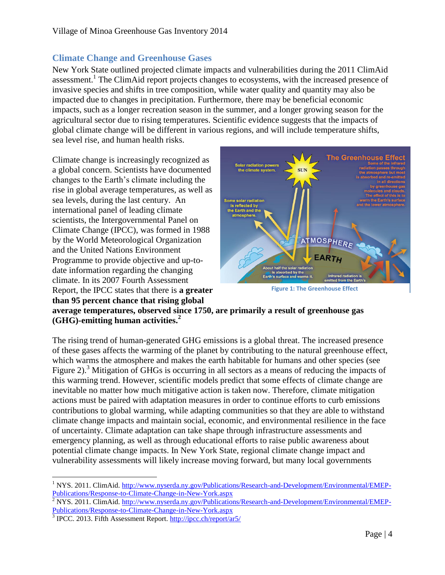#### <span id="page-4-0"></span>**Climate Change and Greenhouse Gases**

New York State outlined projected climate impacts and vulnerabilities during the 2011 ClimAid assessment.<sup>1</sup> The ClimAid report projects changes to ecosystems, with the increased presence of invasive species and shifts in tree composition, while water quality and quantity may also be impacted due to changes in precipitation. Furthermore, there may be beneficial economic impacts, such as a longer recreation season in the summer, and a longer growing season for the agricultural sector due to rising temperatures. Scientific evidence suggests that the impacts of global climate change will be different in various regions, and will include temperature shifts, sea level rise, and human health risks.

Climate change is increasingly recognized as a global concern. Scientists have documented changes to the Earth's climate including the rise in global average temperatures, as well as sea levels, during the last century. An international panel of leading climate scientists, the Intergovernmental Panel on Climate Change (IPCC), was formed in 1988 by the World Meteorological Organization and the United Nations Environment Programme to provide objective and up-todate information regarding the changing climate. In its 2007 Fourth Assessment Report, the IPCC states that there is **a greater than 95 percent chance that rising global** 



**Figure 1: The Greenhouse Effect**

**average temperatures, observed since 1750, are primarily a result of greenhouse gas (GHG)-emitting human activities.<sup>2</sup>**

The rising trend of human-generated GHG emissions is a global threat. The increased presence of these gases affects the warming of the planet by contributing to the natural greenhouse effect, which warms the atmosphere and makes the earth habitable for humans and other species (see Figure 2).<sup>3</sup> Mitigation of GHGs is occurring in all sectors as a means of reducing the impacts of this warming trend. However, scientific models predict that some effects of climate change are inevitable no matter how much mitigative action is taken now. Therefore, climate mitigation actions must be paired with adaptation measures in order to continue efforts to curb emissions contributions to global warming, while adapting communities so that they are able to withstand climate change impacts and maintain social, economic, and environmental resilience in the face of uncertainty. Climate adaptation can take shape through infrastructure assessments and emergency planning, as well as through educational efforts to raise public awareness about potential climate change impacts. In New York State, regional climate change impact and vulnerability assessments will likely increase moving forward, but many local governments

 $\overline{a}$ <sup>1</sup> NYS. 2011. ClimAid. [http://www.nyserda.ny.gov/Publications/Research-and-Development/Environmental/EMEP-](http://www.nyserda.ny.gov/Publications/Research-and-Development/Environmental/EMEP-Publications/Response-to-Climate-Change-in-New-York.aspx)[Publications/Response-to-Climate-Change-in-New-York.aspx](http://www.nyserda.ny.gov/Publications/Research-and-Development/Environmental/EMEP-Publications/Response-to-Climate-Change-in-New-York.aspx)

 $\frac{2}{3}$  NYS. 2011. ClimAid. [http://www.nyserda.ny.gov/Publications/Research-and-Development/Environmental/EMEP-](http://www.nyserda.ny.gov/Publications/Research-and-Development/Environmental/EMEP-Publications/Response-to-Climate-Change-in-New-York.aspx)[Publications/Response-to-Climate-Change-in-New-York.aspx](http://www.nyserda.ny.gov/Publications/Research-and-Development/Environmental/EMEP-Publications/Response-to-Climate-Change-in-New-York.aspx)

<sup>&</sup>lt;sup>3</sup> IPCC. 2013. Fifth Assessment Report. <http://ipcc.ch/report/ar5/>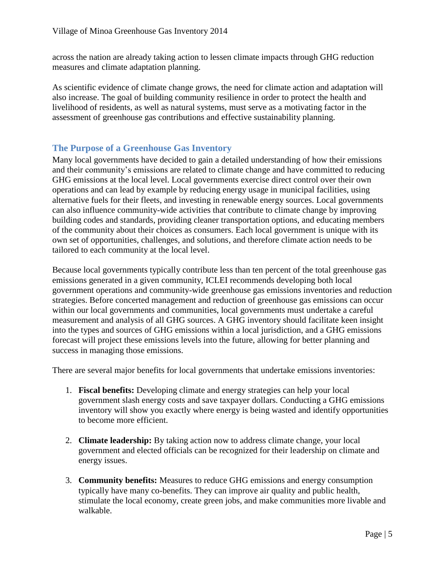across the nation are already taking action to lessen climate impacts through GHG reduction measures and climate adaptation planning.

As scientific evidence of climate change grows, the need for climate action and adaptation will also increase. The goal of building community resilience in order to protect the health and livelihood of residents, as well as natural systems, must serve as a motivating factor in the assessment of greenhouse gas contributions and effective sustainability planning.

#### <span id="page-5-0"></span>**The Purpose of a Greenhouse Gas Inventory**

Many local governments have decided to gain a detailed understanding of how their emissions and their community's emissions are related to climate change and have committed to reducing GHG emissions at the local level. Local governments exercise direct control over their own operations and can lead by example by reducing energy usage in municipal facilities, using alternative fuels for their fleets, and investing in renewable energy sources. Local governments can also influence community-wide activities that contribute to climate change by improving building codes and standards, providing cleaner transportation options, and educating members of the community about their choices as consumers. Each local government is unique with its own set of opportunities, challenges, and solutions, and therefore climate action needs to be tailored to each community at the local level.

Because local governments typically contribute less than ten percent of the total greenhouse gas emissions generated in a given community, ICLEI recommends developing both local government operations and community-wide greenhouse gas emissions inventories and reduction strategies. Before concerted management and reduction of greenhouse gas emissions can occur within our local governments and communities, local governments must undertake a careful measurement and analysis of all GHG sources. A GHG inventory should facilitate keen insight into the types and sources of GHG emissions within a local jurisdiction, and a GHG emissions forecast will project these emissions levels into the future, allowing for better planning and success in managing those emissions.

There are several major benefits for local governments that undertake emissions inventories:

- 1. **Fiscal benefits:** Developing climate and energy strategies can help your local government slash energy costs and save taxpayer dollars. Conducting a GHG emissions inventory will show you exactly where energy is being wasted and identify opportunities to become more efficient.
- 2. **Climate leadership:** By taking action now to address climate change, your local government and elected officials can be recognized for their leadership on climate and energy issues.
- 3. **Community benefits:** Measures to reduce GHG emissions and energy consumption typically have many co-benefits. They can improve air quality and public health, stimulate the local economy, create green jobs, and make communities more livable and walkable.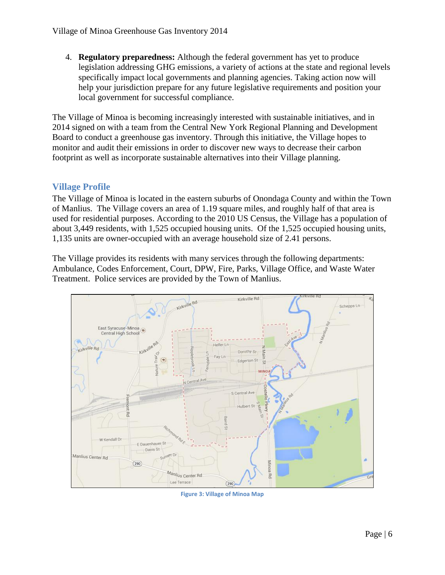4. **Regulatory preparedness:** Although the federal government has yet to produce legislation addressing GHG emissions, a variety of actions at the state and regional levels specifically impact local governments and planning agencies. Taking action now will help your jurisdiction prepare for any future legislative requirements and position your local government for successful compliance.

The Village of Minoa is becoming increasingly interested with sustainable initiatives, and in 2014 signed on with a team from the Central New York Regional Planning and Development Board to conduct a greenhouse gas inventory. Through this initiative, the Village hopes to monitor and audit their emissions in order to discover new ways to decrease their carbon footprint as well as incorporate sustainable alternatives into their Village planning.

#### <span id="page-6-0"></span>**Village Profile**

The Village of Minoa is located in the eastern suburbs of Onondaga County and within the Town of Manlius. The Village covers an area of 1.19 square miles, and roughly half of that area is used for residential purposes. According to the 2010 US Census, the Village has a population of about 3,449 residents, with 1,525 occupied housing units. Of the 1,525 occupied housing units, 1,135 units are owner-occupied with an average household size of 2.41 persons.

The Village provides its residents with many services through the following departments: Ambulance, Codes Enforcement, Court, DPW, Fire, Parks, Village Office, and Waste Water Treatment. Police services are provided by the Town of Manlius.



**Figure 3: Village of Minoa Map**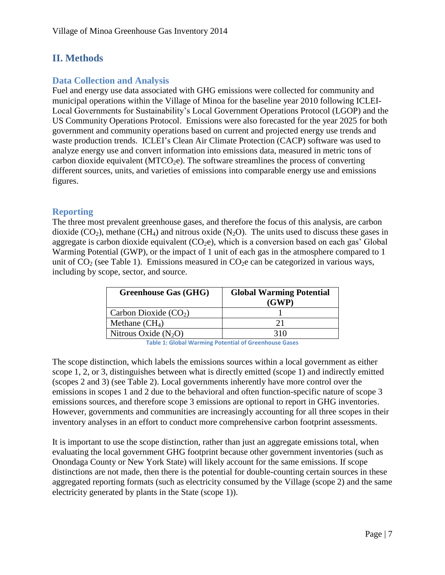## <span id="page-7-0"></span>**II. Methods**

#### <span id="page-7-1"></span>**Data Collection and Analysis**

Fuel and energy use data associated with GHG emissions were collected for community and municipal operations within the Village of Minoa for the baseline year 2010 following ICLEI-Local Governments for Sustainability's Local Government Operations Protocol (LGOP) and the US Community Operations Protocol. Emissions were also forecasted for the year 2025 for both government and community operations based on current and projected energy use trends and waste production trends. ICLEI's Clean Air Climate Protection (CACP) software was used to analyze energy use and convert information into emissions data, measured in metric tons of carbon dioxide equivalent (MTCO<sub>2</sub>e). The software streamlines the process of converting different sources, units, and varieties of emissions into comparable energy use and emissions figures.

#### <span id="page-7-2"></span>**Reporting**

The three most prevalent greenhouse gases, and therefore the focus of this analysis, are carbon dioxide  $(CO_2)$ , methane  $(CH_4)$  and nitrous oxide  $(N_2O)$ . The units used to discuss these gases in aggregate is carbon dioxide equivalent  $(CO_2e)$ , which is a conversion based on each gas' Global Warming Potential (GWP), or the impact of 1 unit of each gas in the atmosphere compared to 1 unit of  $CO<sub>2</sub>$  (see Table 1). Emissions measured in  $CO<sub>2</sub>e$  can be categorized in various ways, including by scope, sector, and source.

| <b>Greenhouse Gas (GHG)</b> | <b>Global Warming Potential</b><br>(GWP) |
|-----------------------------|------------------------------------------|
| Carbon Dioxide $(CO2)$      |                                          |
| Methane $(CH_4)$            | 21                                       |
| Nitrous Oxide $(N_2O)$      |                                          |

**Table 1: Global Warming Potential of Greenhouse Gases**

The scope distinction, which labels the emissions sources within a local government as either scope 1, 2, or 3, distinguishes between what is directly emitted (scope 1) and indirectly emitted (scopes 2 and 3) (see Table 2). Local governments inherently have more control over the emissions in scopes 1 and 2 due to the behavioral and often function-specific nature of scope 3 emissions sources, and therefore scope 3 emissions are optional to report in GHG inventories. However, governments and communities are increasingly accounting for all three scopes in their inventory analyses in an effort to conduct more comprehensive carbon footprint assessments.

It is important to use the scope distinction, rather than just an aggregate emissions total, when evaluating the local government GHG footprint because other government inventories (such as Onondaga County or New York State) will likely account for the same emissions. If scope distinctions are not made, then there is the potential for double-counting certain sources in these aggregated reporting formats (such as electricity consumed by the Village (scope 2) and the same electricity generated by plants in the State (scope 1)).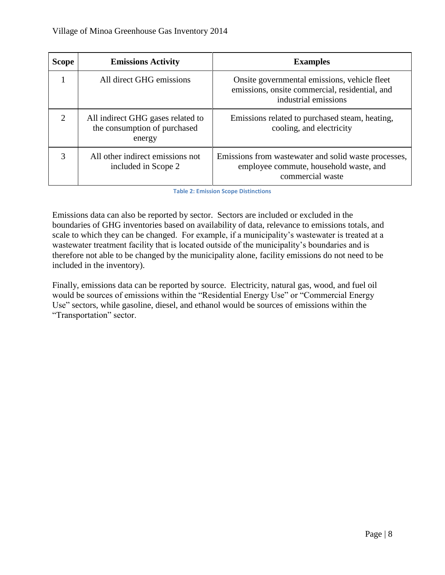| <b>Scope</b>          | <b>Emissions Activity</b>                                                   | <b>Examples</b>                                                                                                        |
|-----------------------|-----------------------------------------------------------------------------|------------------------------------------------------------------------------------------------------------------------|
|                       | All direct GHG emissions                                                    | Onsite governmental emissions, vehicle fleet<br>emissions, onsite commercial, residential, and<br>industrial emissions |
| $\mathcal{D}_{\cdot}$ | All indirect GHG gases related to<br>the consumption of purchased<br>energy | Emissions related to purchased steam, heating,<br>cooling, and electricity                                             |
| 3                     | All other indirect emissions not<br>included in Scope 2                     | Emissions from was tewater and solid was te processes,<br>employee commute, household waste, and<br>commercial waste   |

**Table 2: Emission Scope Distinctions**

Emissions data can also be reported by sector. Sectors are included or excluded in the boundaries of GHG inventories based on availability of data, relevance to emissions totals, and scale to which they can be changed. For example, if a municipality's wastewater is treated at a wastewater treatment facility that is located outside of the municipality's boundaries and is therefore not able to be changed by the municipality alone, facility emissions do not need to be included in the inventory).

Finally, emissions data can be reported by source. Electricity, natural gas, wood, and fuel oil would be sources of emissions within the "Residential Energy Use" or "Commercial Energy Use" sectors, while gasoline, diesel, and ethanol would be sources of emissions within the "Transportation" sector.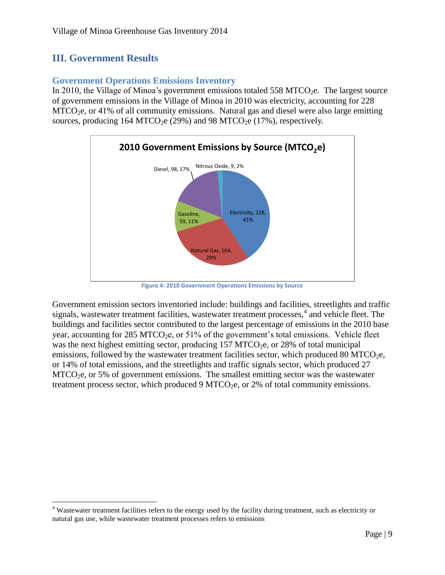## <span id="page-9-0"></span>**III. Government Results**

 $\overline{\phantom{a}}$ 

#### <span id="page-9-1"></span>**Government Operations Emissions Inventory**

In 2010, the Village of Minoa's government emissions totaled 558 MTCO<sub>2</sub>e. The largest source of government emissions in the Village of Minoa in 2010 was electricity, accounting for 228  $MTCO<sub>2</sub>e$ , or 41% of all community emissions. Natural gas and diesel were also large emitting sources, producing 164 MTCO<sub>2</sub>e (29%) and 98 MTCO<sub>2</sub>e (17%), respectively.



**Figure 4: 2010 Government Operations Emissions by Source**

Government emission sectors inventoried include: buildings and facilities, streetlights and traffic signals, wastewater treatment facilities, wastewater treatment processes,<sup>4</sup> and vehicle fleet. The buildings and facilities sector contributed to the largest percentage of emissions in the 2010 base year, accounting for 285 MTCO<sub>2</sub>e, or 51% of the government's total emissions. Vehicle fleet was the next highest emitting sector, producing  $157 \text{ MTCO}_2$ , or  $28\%$  of total municipal emissions, followed by the wastewater treatment facilities sector, which produced 80 MTCO<sub>2</sub>e, or 14% of total emissions, and the streetlights and traffic signals sector, which produced 27  $MTCO<sub>2</sub>e$ , or 5% of government emissions. The smallest emitting sector was the wastewater treatment process sector, which produced  $9 \text{ MTCO}_2$ e, or  $2\%$  of total community emissions.

<sup>&</sup>lt;sup>4</sup> Wastewater treatment facilities refers to the energy used by the facility during treatment, such as electricity or natural gas use, while wastewater treatment processes refers to emissions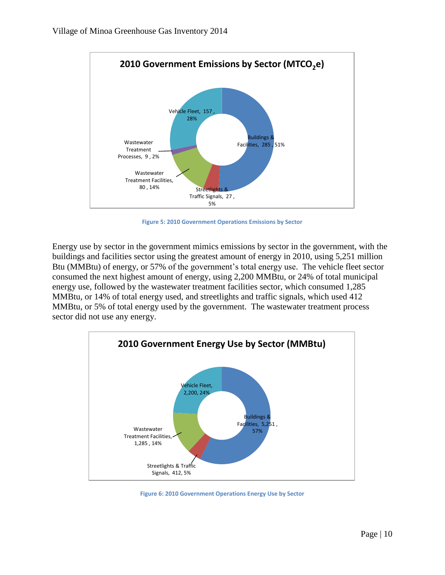

**Figure 5: 2010 Government Operations Emissions by Sector**

Energy use by sector in the government mimics emissions by sector in the government, with the buildings and facilities sector using the greatest amount of energy in 2010, using 5,251 million Btu (MMBtu) of energy, or 57% of the government's total energy use. The vehicle fleet sector consumed the next highest amount of energy, using 2,200 MMBtu, or 24% of total municipal energy use, followed by the wastewater treatment facilities sector, which consumed 1,285 MMBtu, or 14% of total energy used, and streetlights and traffic signals, which used 412 MMBtu, or 5% of total energy used by the government. The wastewater treatment process sector did not use any energy.



**Figure 6: 2010 Government Operations Energy Use by Sector**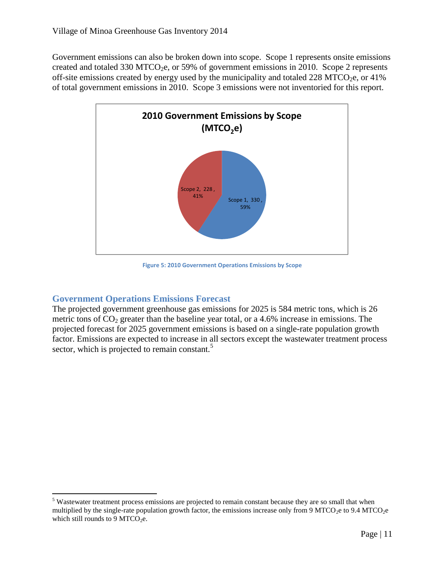Government emissions can also be broken down into scope. Scope 1 represents onsite emissions created and totaled 330 MTCO<sub>2</sub>e, or 59% of government emissions in 2010. Scope 2 represents off-site emissions created by energy used by the municipality and totaled 228 MTCO<sub>2</sub>e, or 41% of total government emissions in 2010. Scope 3 emissions were not inventoried for this report.



**Figure 5: 2010 Government Operations Emissions by Scope**

#### <span id="page-11-0"></span>**Government Operations Emissions Forecast**

The projected government greenhouse gas emissions for 2025 is 584 metric tons, which is 26 metric tons of  $CO<sub>2</sub>$  greater than the baseline year total, or a 4.6% increase in emissions. The projected forecast for 2025 government emissions is based on a single-rate population growth factor. Emissions are expected to increase in all sectors except the wastewater treatment process sector, which is projected to remain constant.<sup>5</sup>

 $\overline{\phantom{a}}$ <sup>5</sup> Wastewater treatment process emissions are projected to remain constant because they are so small that when multiplied by the single-rate population growth factor, the emissions increase only from 9 MTCO<sub>2</sub>e to 9.4 MTCO<sub>2</sub>e which still rounds to 9 MTCO<sub>2</sub>e.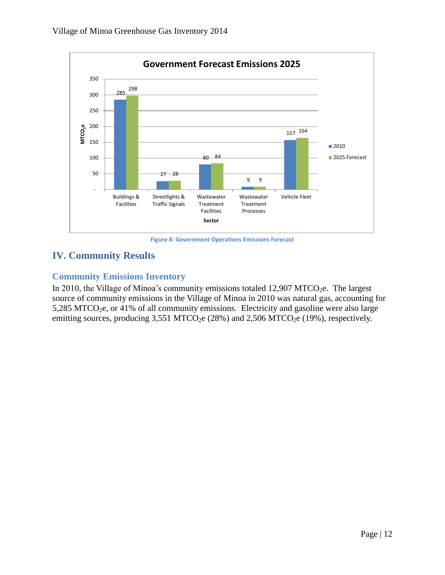

**Figure 8: Government Operations Emissions Forecast**

## <span id="page-12-0"></span>**IV. Community Results**

### <span id="page-12-1"></span>**Community Emissions Inventory**

In 2010, the Village of Minoa's community emissions totaled 12,907 MTCO<sub>2</sub>e. The largest source of community emissions in the Village of Minoa in 2010 was natural gas, accounting for 5,285 MTCO<sub>2</sub>e, or 41% of all community emissions. Electricity and gasoline were also large emitting sources, producing  $3,551$  MTCO<sub>2</sub>e  $(28%)$  and  $2,506$  MTCO<sub>2</sub>e  $(19%)$ , respectively.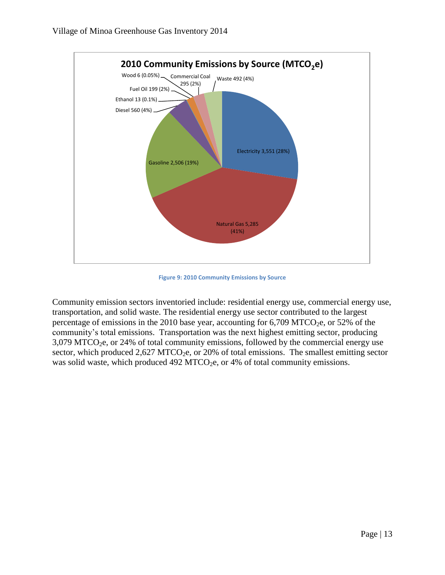

**Figure 9: 2010 Community Emissions by Source**

Community emission sectors inventoried include: residential energy use, commercial energy use, transportation, and solid waste. The residential energy use sector contributed to the largest percentage of emissions in the 2010 base year, accounting for  $6,709$  MTCO<sub>2</sub>e, or 52% of the community's total emissions. Transportation was the next highest emitting sector, producing  $3,079$  MTCO<sub>2</sub>e, or 24% of total community emissions, followed by the commercial energy use sector, which produced  $2,627$  MTCO<sub>2</sub>e, or 20% of total emissions. The smallest emitting sector was solid waste, which produced  $492$  MTCO<sub>2</sub>e, or  $4%$  of total community emissions.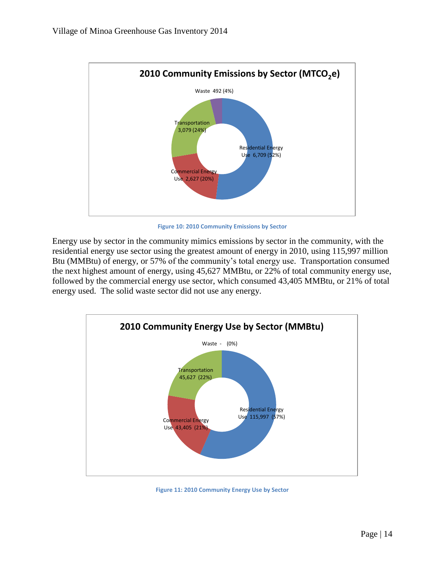

**Figure 10: 2010 Community Emissions by Sector**

Energy use by sector in the community mimics emissions by sector in the community, with the residential energy use sector using the greatest amount of energy in 2010, using 115,997 million Btu (MMBtu) of energy, or 57% of the community's total energy use. Transportation consumed the next highest amount of energy, using 45,627 MMBtu, or 22% of total community energy use, followed by the commercial energy use sector, which consumed 43,405 MMBtu, or 21% of total energy used. The solid waste sector did not use any energy.



**Figure 11: 2010 Community Energy Use by Sector**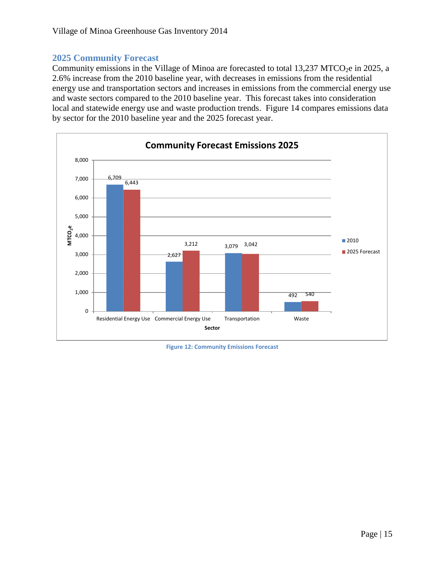#### <span id="page-15-0"></span>**2025 Community Forecast**

Community emissions in the Village of Minoa are forecasted to total 13,237 MTCO<sub>2</sub>e in 2025, a 2.6% increase from the 2010 baseline year, with decreases in emissions from the residential energy use and transportation sectors and increases in emissions from the commercial energy use and waste sectors compared to the 2010 baseline year. This forecast takes into consideration local and statewide energy use and waste production trends. Figure 14 compares emissions data by sector for the 2010 baseline year and the 2025 forecast year.



**Figure 12: Community Emissions Forecast**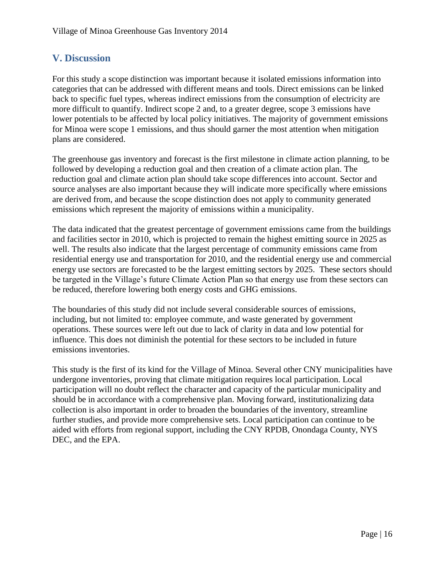## <span id="page-16-0"></span>**V. Discussion**

For this study a scope distinction was important because it isolated emissions information into categories that can be addressed with different means and tools. Direct emissions can be linked back to specific fuel types, whereas indirect emissions from the consumption of electricity are more difficult to quantify. Indirect scope 2 and, to a greater degree, scope 3 emissions have lower potentials to be affected by local policy initiatives. The majority of government emissions for Minoa were scope 1 emissions, and thus should garner the most attention when mitigation plans are considered.

The greenhouse gas inventory and forecast is the first milestone in climate action planning, to be followed by developing a reduction goal and then creation of a climate action plan. The reduction goal and climate action plan should take scope differences into account. Sector and source analyses are also important because they will indicate more specifically where emissions are derived from, and because the scope distinction does not apply to community generated emissions which represent the majority of emissions within a municipality.

The data indicated that the greatest percentage of government emissions came from the buildings and facilities sector in 2010, which is projected to remain the highest emitting source in 2025 as well. The results also indicate that the largest percentage of community emissions came from residential energy use and transportation for 2010, and the residential energy use and commercial energy use sectors are forecasted to be the largest emitting sectors by 2025. These sectors should be targeted in the Village's future Climate Action Plan so that energy use from these sectors can be reduced, therefore lowering both energy costs and GHG emissions.

The boundaries of this study did not include several considerable sources of emissions, including, but not limited to: employee commute, and waste generated by government operations. These sources were left out due to lack of clarity in data and low potential for influence. This does not diminish the potential for these sectors to be included in future emissions inventories.

This study is the first of its kind for the Village of Minoa. Several other CNY municipalities have undergone inventories, proving that climate mitigation requires local participation. Local participation will no doubt reflect the character and capacity of the particular municipality and should be in accordance with a comprehensive plan. Moving forward, institutionalizing data collection is also important in order to broaden the boundaries of the inventory, streamline further studies, and provide more comprehensive sets. Local participation can continue to be aided with efforts from regional support, including the CNY RPDB, Onondaga County, NYS DEC, and the EPA.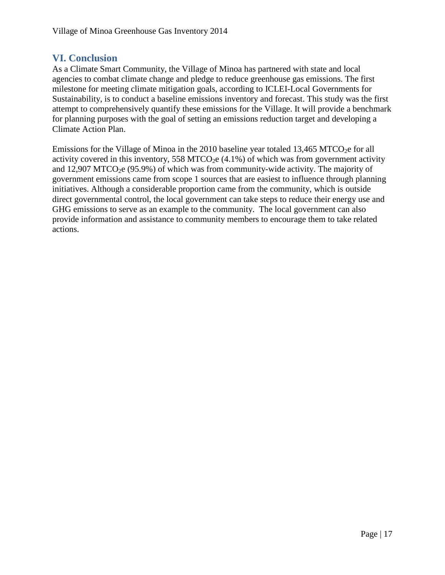#### <span id="page-17-0"></span>**VI. Conclusion**

As a Climate Smart Community, the Village of Minoa has partnered with state and local agencies to combat climate change and pledge to reduce greenhouse gas emissions. The first milestone for meeting climate mitigation goals, according to ICLEI-Local Governments for Sustainability, is to conduct a baseline emissions inventory and forecast. This study was the first attempt to comprehensively quantify these emissions for the Village. It will provide a benchmark for planning purposes with the goal of setting an emissions reduction target and developing a Climate Action Plan.

Emissions for the Village of Minoa in the 2010 baseline year totaled  $13,465$  MTCO<sub>2</sub>e for all activity covered in this inventory, 558 MTCO<sub>2</sub>e  $(4.1\%)$  of which was from government activity and 12,907 MTCO<sub>2</sub>e (95.9%) of which was from community-wide activity. The majority of government emissions came from scope 1 sources that are easiest to influence through planning initiatives. Although a considerable proportion came from the community, which is outside direct governmental control, the local government can take steps to reduce their energy use and GHG emissions to serve as an example to the community. The local government can also provide information and assistance to community members to encourage them to take related actions.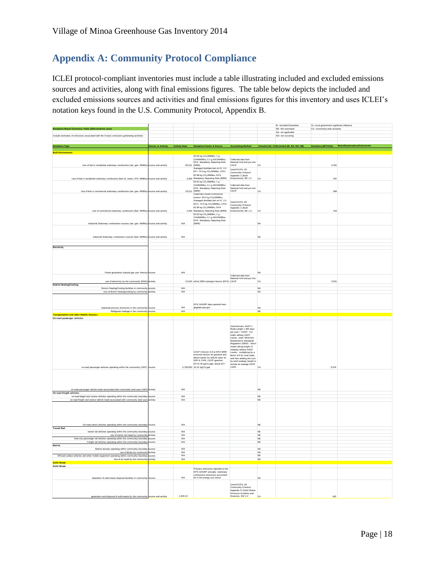## <span id="page-18-0"></span>**Appendix A: Community Protocol Compliance**

ICLEI protocol‐compliant inventories must include a table illustrating included and excluded emissions sources and activities, along with final emissions figures. The table below depicts the included and excluded emissions sources and activities and final emissions figures for this inventory and uses ICLEI's notation keys found in the U.S. Community Protocol, Appendix B.

|                                                                                                                                             |                     |                          |                                                                                                                        |                                                                                                                     |                        | IE- Included Elsewhere                  | SI- Local government significant influence |                                                |
|---------------------------------------------------------------------------------------------------------------------------------------------|---------------------|--------------------------|------------------------------------------------------------------------------------------------------------------------|---------------------------------------------------------------------------------------------------------------------|------------------------|-----------------------------------------|--------------------------------------------|------------------------------------------------|
| Emissions Report Summary Table (2010 baseline year)                                                                                         |                     |                          |                                                                                                                        |                                                                                                                     |                        | NE-Not estimated                        | CA- community-wide activities              |                                                |
| Include estimates of emissions associated with the 5 basic emissions generating activities                                                  |                     |                          |                                                                                                                        |                                                                                                                     |                        | NA- not applicable<br>NO- not occurring |                                            |                                                |
|                                                                                                                                             |                     |                          |                                                                                                                        |                                                                                                                     |                        |                                         |                                            |                                                |
|                                                                                                                                             |                     |                          |                                                                                                                        |                                                                                                                     |                        |                                         |                                            |                                                |
| <b>Emissions Type</b>                                                                                                                       |                     |                          | Source or Activity Activity Data Emissions Factor & Source Accounting Method Included (SI, CAExcluded (IE, NA, NO, NE) |                                                                                                                     |                        |                                         |                                            | Emissions (MTCO2e) Notes/Explanations/Comments |
|                                                                                                                                             |                     |                          |                                                                                                                        |                                                                                                                     |                        |                                         |                                            |                                                |
| <b>Ruill</b> Fr                                                                                                                             |                     |                          | 53.02 kg CO <sub>2</sub> /MMBtu; 1 g                                                                                   |                                                                                                                     |                        |                                         |                                            |                                                |
| Use of fuel in residential stationary combustion (nat. gas- MMBtu)                                                                          | source and activity | 80,911 (MRR)             | CH4/MMBtu; 0.1 g N2O/MMBtu;<br>EPA Mandatory Reporting Rule<br>Averaged distillate fuel oil #1, 2,4                    | Collected data from<br>National Grid and put into<br>CACP                                                           | CA                     |                                         | 4.301                                      |                                                |
|                                                                                                                                             |                     |                          | EF= 74.5 kg CO <sub>2</sub> /MMBtu; LPG=<br>62.98 kg CO <sub>2</sub> /MMBtu; EPA                                       | Used ICLET's US<br>Community Protocol<br>Appendix C (Built                                                          |                        |                                         |                                            |                                                |
| Use of fuel in residential stationary combustion (fuel oil, wood, LPG- MMBtu)                                                               | source and activity |                          | 3,946 Mandatory Reporting Rule (MRR)<br>53.02 kg CO <sub>2</sub> /MMBtu; 1 g                                           | Environment), BE 1.2                                                                                                | CA                     |                                         | 337                                        |                                                |
| Use of fuel in commercial stationary combustion (nat. gas- MMBtu) source and activity                                                       |                     | 18,511 (MRR)             | CH4/MMBtu; 0.1 g N2O/MMBtu;<br>EPA Mandatory Reporting Rule                                                            | Collected data from<br>National Grid and put into<br>CACP                                                           | CA                     |                                         | 984                                        |                                                |
|                                                                                                                                             |                     |                          | Coal/coke mixed commercial<br>sector= 93.4 kg CO <sub>2</sub> /MMBtu;                                                  |                                                                                                                     |                        |                                         |                                            |                                                |
|                                                                                                                                             |                     |                          | Averaged distillate fuel oil #1, 2.4<br>EFs= 74.5 kg CO <sub>2</sub> /MMBtu; LPG=                                      | Lised ICI FI's LIS<br>Community Protocol                                                                            |                        |                                         |                                            |                                                |
| Use of commercial stationary combustion (fuel- MMBtu)                                                                                       | ource and activity  |                          | 62.98 kg CO <sub>2</sub> /MMBtu; EPA<br>2,644 Mandatory Reporting Rule (MRR)<br>53.02 kg CO-/MMBtu: 1 g                | Appendix C (Built<br>Environment), BE 1.3                                                                           | CA                     |                                         | 163                                        |                                                |
|                                                                                                                                             |                     |                          | CH4/MMBtu; 0.1 g N2O/MMBtu<br>EPA Mandatory Reporting Rule                                                             |                                                                                                                     |                        |                                         |                                            |                                                |
| Industrial Stationary combustion sources (nat. gas- MMBtu)                                                                                  | source and activity | <b>N/A</b>               | (MRR)                                                                                                                  |                                                                                                                     | <b>NA</b>              |                                         |                                            |                                                |
| Industrial Stationary combustion sources (fuel- MMBtu) source and activity                                                                  |                     | <b>N/A</b>               |                                                                                                                        |                                                                                                                     | <b>NA</b>              |                                         |                                            |                                                |
|                                                                                                                                             |                     |                          |                                                                                                                        |                                                                                                                     |                        |                                         |                                            |                                                |
|                                                                                                                                             |                     |                          |                                                                                                                        |                                                                                                                     |                        |                                         |                                            |                                                |
| Electricity                                                                                                                                 |                     |                          |                                                                                                                        |                                                                                                                     |                        |                                         |                                            |                                                |
|                                                                                                                                             |                     |                          |                                                                                                                        |                                                                                                                     |                        |                                         |                                            |                                                |
|                                                                                                                                             |                     |                          |                                                                                                                        |                                                                                                                     |                        |                                         |                                            |                                                |
| Power generation (natural gas use- therm                                                                                                    |                     | <b>N/A</b>               |                                                                                                                        | Collected data from<br>National Grid and put into                                                                   |                        |                                         |                                            |                                                |
| use of electricity by the community (MWh)                                                                                                   | ictivity            |                          | 15,643 eGrid 2009 subregion factors (EPA) CACP                                                                         |                                                                                                                     | CA                     |                                         | 3.551                                      |                                                |
| <b>District Heating/Cooling</b><br>District Heating/Cooling facilities in community                                                         | source              | <b>N/A</b>               |                                                                                                                        |                                                                                                                     | <b>NA</b>              |                                         |                                            |                                                |
| Use of district heating/cooling by community activity                                                                                       |                     | N/A                      |                                                                                                                        |                                                                                                                     | <b>NA</b>              |                                         |                                            |                                                |
|                                                                                                                                             |                     |                          |                                                                                                                        |                                                                                                                     |                        |                                         |                                            |                                                |
|                                                                                                                                             |                     |                          |                                                                                                                        |                                                                                                                     |                        |                                         |                                            |                                                |
|                                                                                                                                             |                     |                          | EPA GHGRP data reported here:                                                                                          |                                                                                                                     |                        |                                         |                                            |                                                |
| Industrial process emissions in the community                                                                                               | ource               | <b>N/A</b>               | ghgdata.epa.gov                                                                                                        |                                                                                                                     | <b>NA</b>              |                                         |                                            |                                                |
|                                                                                                                                             |                     | <b>N/A</b>               |                                                                                                                        |                                                                                                                     | NE                     |                                         |                                            |                                                |
| Refrigerant leakage in the community source                                                                                                 |                     |                          |                                                                                                                        |                                                                                                                     |                        |                                         |                                            |                                                |
| <b>Transportation and other Mobile Sources</b>                                                                                              |                     |                          |                                                                                                                        |                                                                                                                     |                        |                                         |                                            |                                                |
| On-road passenger vehicles                                                                                                                  |                     |                          |                                                                                                                        |                                                                                                                     |                        |                                         |                                            |                                                |
|                                                                                                                                             |                     |                          |                                                                                                                        |                                                                                                                     |                        |                                         |                                            |                                                |
|                                                                                                                                             |                     |                          |                                                                                                                        | Used formula: AADT x                                                                                                |                        |                                         |                                            |                                                |
|                                                                                                                                             |                     |                          |                                                                                                                        |                                                                                                                     |                        |                                         |                                            |                                                |
|                                                                                                                                             |                     |                          |                                                                                                                        | Road Length x 365 days<br>per year = AVMT. For<br>roads without AADT                                                |                        |                                         |                                            |                                                |
|                                                                                                                                             |                     |                          |                                                                                                                        | counts, used "Minimum                                                                                               |                        |                                         |                                            |                                                |
|                                                                                                                                             |                     |                          |                                                                                                                        | Maintenance Standards<br>Regulation 239/02," which                                                                  |                        |                                         |                                            |                                                |
|                                                                                                                                             |                     |                          |                                                                                                                        | meant taking length of                                                                                              |                        |                                         |                                            |                                                |
|                                                                                                                                             |                     |                          | CACP (Version 3.0) & EPA MRR                                                                                           | roadway without AADT<br>counts, multiplying by a                                                                    |                        |                                         |                                            |                                                |
|                                                                                                                                             |                     |                          | emission factors for gasoline and                                                                                      | factor of 6 for rural roads.                                                                                        |                        |                                         |                                            |                                                |
|                                                                                                                                             |                     |                          | diesel (varies by vehicle class for                                                                                    |                                                                                                                     |                        |                                         |                                            |                                                |
|                                                                                                                                             |                     |                          | N2O & CH4): LGOP gasoline<br>EF=8.78 kgCO <sub>2</sub> /gal; diesel EF=                                                | actor or o lot ratial reason,<br>and then dividing the sum<br>by total readway length to<br>receive an average AADT |                        |                                         |                                            |                                                |
| on-road passenger vehicles operating within the community (VMT)                                                                             | source              |                          | 5,766,850 10.21 kgCO2/gal                                                                                              | count.                                                                                                              | CA                     |                                         | 3,079                                      |                                                |
|                                                                                                                                             |                     |                          |                                                                                                                        |                                                                                                                     |                        |                                         |                                            |                                                |
|                                                                                                                                             |                     |                          |                                                                                                                        |                                                                                                                     |                        |                                         |                                            |                                                |
|                                                                                                                                             |                     |                          |                                                                                                                        |                                                                                                                     |                        |                                         |                                            |                                                |
|                                                                                                                                             |                     |                          |                                                                                                                        |                                                                                                                     |                        |                                         |                                            |                                                |
| on-road passenger vehicle travel associated with community land uses (VMT) activity                                                         |                     | <b>N/A</b>               |                                                                                                                        |                                                                                                                     | <b>NE</b>              |                                         |                                            |                                                |
| On-road freight vehicles                                                                                                                    |                     |                          |                                                                                                                        |                                                                                                                     |                        |                                         |                                            |                                                |
| on-road freight and service vehicles operating within the community boundary                                                                | source              | N/A<br><b>N/A</b>        |                                                                                                                        |                                                                                                                     | NE<br><b>NE</b>        |                                         |                                            |                                                |
| on-road freight and service vehicle travel associated with community land uses                                                              | activity            |                          |                                                                                                                        |                                                                                                                     |                        |                                         |                                            |                                                |
|                                                                                                                                             |                     |                          |                                                                                                                        |                                                                                                                     |                        |                                         |                                            |                                                |
|                                                                                                                                             |                     |                          |                                                                                                                        |                                                                                                                     |                        |                                         |                                            |                                                |
|                                                                                                                                             |                     |                          |                                                                                                                        |                                                                                                                     |                        |                                         |                                            |                                                |
|                                                                                                                                             |                     |                          |                                                                                                                        |                                                                                                                     |                        |                                         |                                            |                                                |
|                                                                                                                                             | ource               | <b>N/A</b>               |                                                                                                                        |                                                                                                                     | <b>NE</b>              |                                         |                                            |                                                |
| On-road transit vehicles operating within the community boundary<br><b>Transit Rail</b>                                                     |                     |                          |                                                                                                                        |                                                                                                                     |                        |                                         |                                            |                                                |
| transit rail vehicles operating within the community boundary                                                                               | urce                | N/A                      |                                                                                                                        |                                                                                                                     | NE                     |                                         |                                            |                                                |
| use of transit rail travel by community                                                                                                     | activity            | <b>N/A</b>               |                                                                                                                        |                                                                                                                     | <b>NF</b>              |                                         |                                            |                                                |
| Inter-city passenger rail vehicles operating within the community boundary<br>Freight rail vehicles operating within the community boundary | source<br>ource     | <b>N/A</b><br><b>N/A</b> |                                                                                                                        |                                                                                                                     | <b>NE</b><br><b>NE</b> |                                         |                                            |                                                |
| Marine                                                                                                                                      |                     |                          |                                                                                                                        |                                                                                                                     |                        |                                         |                                            |                                                |
| Marine vessels operating within community boundar                                                                                           | ource               | <b>N/A</b>               |                                                                                                                        |                                                                                                                     | <b>NA</b>              |                                         |                                            |                                                |
| use of ferries by community activity                                                                                                        |                     | <b>N/A</b>               |                                                                                                                        |                                                                                                                     | <b>NA</b>              |                                         |                                            |                                                |
| Off-road surface vehicles and other mobile equipment operating within con<br>nunity boundar                                                 | urce                | N/A<br>N/A               |                                                                                                                        |                                                                                                                     | $_{\rm NE}$<br>NE      |                                         |                                            |                                                |
| Use of air travel by the community activity<br><b>Solid Waste</b>                                                                           |                     |                          |                                                                                                                        |                                                                                                                     |                        |                                         |                                            |                                                |
| Solid Waste                                                                                                                                 |                     |                          |                                                                                                                        |                                                                                                                     |                        |                                         |                                            |                                                |
|                                                                                                                                             |                     |                          | Process emissions reported to the                                                                                      |                                                                                                                     |                        |                                         |                                            |                                                |
|                                                                                                                                             |                     |                          | Frucess emissions reported to the<br>EPA GHGRP annually; stationary<br>combustion emissions accounted                  |                                                                                                                     |                        |                                         |                                            |                                                |
| Operation of solid waste disposal facilities in community                                                                                   |                     | <b>N/A</b>               | for in the energy use sector                                                                                           |                                                                                                                     | <b>NA</b>              |                                         |                                            |                                                |
|                                                                                                                                             |                     |                          |                                                                                                                        | Used ICLEI's US                                                                                                     |                        |                                         |                                            |                                                |
|                                                                                                                                             |                     |                          |                                                                                                                        |                                                                                                                     |                        |                                         |                                            |                                                |
|                                                                                                                                             |                     |                          |                                                                                                                        | Community Protocol<br>Appendix E (Solid Waste                                                                       |                        |                                         |                                            |                                                |
| generation and disposal of solid waste by the community source and activity                                                                 |                     | 2,329.13                 |                                                                                                                        | Emission Activities and<br>Sources), SW 2.2                                                                         | CA                     |                                         | 492                                        |                                                |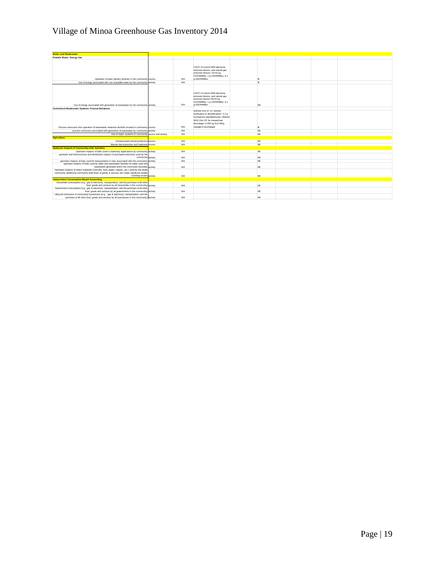## Village of Minoa Greenhouse Gas Inventory 2014

| <b>Water and Wastewater</b>                                                                                                                         |            |                                                                                                                                                                                      |           |  |  |
|-----------------------------------------------------------------------------------------------------------------------------------------------------|------------|--------------------------------------------------------------------------------------------------------------------------------------------------------------------------------------|-----------|--|--|
| Potable Water- Energy Use                                                                                                                           |            |                                                                                                                                                                                      |           |  |  |
| Operation of water delivery facilities in the community source                                                                                      | <b>N/A</b> | CACP 3.0 eGrid 2009 electricity<br>emission factors; and natural gas<br>emission factors= 53.02 kg<br>CO2/MMBtu; 1 g CH4/MMBtu; 0.1<br>a N2O/MMBtu                                   | IE        |  |  |
| Use of energy associated with use of potable water by the community activity                                                                        | <b>N/A</b> |                                                                                                                                                                                      | IE        |  |  |
| Use of energy associated with generation of wastewater by the community activity                                                                    | <b>N/A</b> | CACP 3.0 eGrid 2009 electricity<br>emission factors; and natural gas<br>emission factors=53.02 kg<br>CO2/MMBtu; 1 g CH4/MMBtu; 0.1<br>a N2O/MMBtu                                    | <b>NE</b> |  |  |
|                                                                                                                                                     |            |                                                                                                                                                                                      |           |  |  |
| Centralized Wastewater Systems- Process Emissions                                                                                                   |            | Method WW.8= EF without<br>nitrification or denitrification= 3.2 g<br>N <sub>2</sub> O/person equivalent/year; Method<br>WW.12a= EF for stream/river<br>discharge= 0.005 kg N2O-N/kg |           |  |  |
| Process emissions from operation of wastewater treatment facilities located in community source                                                     | <b>N/A</b> | sewage-N discharged                                                                                                                                                                  | IF        |  |  |
| process emissions associated with generation of wastewater by community activity                                                                    | <b>N/A</b> |                                                                                                                                                                                      | <b>NE</b> |  |  |
| Use of septic systems in community source and activity                                                                                              | <b>N/A</b> |                                                                                                                                                                                      | NE        |  |  |
| <b>Agriculture</b>                                                                                                                                  |            |                                                                                                                                                                                      |           |  |  |
| Domesticated animal production source                                                                                                               | <b>N/A</b> |                                                                                                                                                                                      | NE        |  |  |
| Manure decomposition and treatment source                                                                                                           | <b>N/A</b> |                                                                                                                                                                                      | NE        |  |  |
| <b>Upstream Impacts of Community-wide Activities</b>                                                                                                |            |                                                                                                                                                                                      |           |  |  |
| Upstream impacts of fuels used in stationary applications by community activity                                                                     | <b>N/A</b> |                                                                                                                                                                                      | NE        |  |  |
| upstream and transmissions and distribution impacts of purchased electricity used by the                                                            |            |                                                                                                                                                                                      |           |  |  |
| community activity                                                                                                                                  | <b>N/A</b> |                                                                                                                                                                                      | <b>NE</b> |  |  |
| upstream impacts of fuels used for transportation in trips associated with the community activity                                                   | <b>N/A</b> |                                                                                                                                                                                      | <b>NE</b> |  |  |
| upstream impacts of fuels used by water and wastewater facilities for water used and<br>wastewater generated within the community boundary activity |            |                                                                                                                                                                                      |           |  |  |
| Upstream impacts of select materials (concrete, food, paper, carpets, etc.) used by the whole                                                       | <b>N/A</b> |                                                                                                                                                                                      | <b>NE</b> |  |  |
| community (additional community-wide flows of goods & services will create significant double                                                       |            |                                                                                                                                                                                      |           |  |  |
| counting issues) activity                                                                                                                           | <b>N/A</b> |                                                                                                                                                                                      | <b>NE</b> |  |  |
| <b>Independent Consumption-Based Accounting</b>                                                                                                     |            |                                                                                                                                                                                      |           |  |  |
| Household consumption (e.g., gas & electricity, transportation, and the purchase of all other                                                       |            |                                                                                                                                                                                      |           |  |  |
| food, goods and services by all households in the community) activity                                                                               | <b>N/A</b> |                                                                                                                                                                                      | <b>NE</b> |  |  |
| Government consumption (e.g., gas & electricity, transportation, and the purchase of all other                                                      |            |                                                                                                                                                                                      |           |  |  |
| food, goods and services by all governments in the community) activity                                                                              | <b>N/A</b> |                                                                                                                                                                                      | <b>NE</b> |  |  |
| Lifecycle emissions of community businesses (e.g., gas & electricity, transportation, and the                                                       |            |                                                                                                                                                                                      |           |  |  |
| purchase of all other food, goods and services by all businesses in the community) activity                                                         | <b>N/A</b> |                                                                                                                                                                                      | <b>NF</b> |  |  |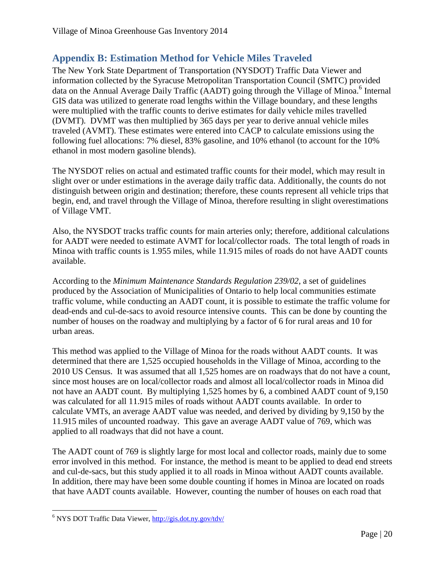## <span id="page-20-0"></span>**Appendix B: Estimation Method for Vehicle Miles Traveled**

The New York State Department of Transportation (NYSDOT) Traffic Data Viewer and information collected by the Syracuse Metropolitan Transportation Council (SMTC) provided data on the Annual Average Daily Traffic (AADT) going through the Village of Minoa.<sup>6</sup> Internal GIS data was utilized to generate road lengths within the Village boundary, and these lengths were multiplied with the traffic counts to derive estimates for daily vehicle miles travelled (DVMT). DVMT was then multiplied by 365 days per year to derive annual vehicle miles traveled (AVMT). These estimates were entered into CACP to calculate emissions using the following fuel allocations: 7% diesel, 83% gasoline, and 10% ethanol (to account for the 10% ethanol in most modern gasoline blends).

The NYSDOT relies on actual and estimated traffic counts for their model, which may result in slight over or under estimations in the average daily traffic data. Additionally, the counts do not distinguish between origin and destination; therefore, these counts represent all vehicle trips that begin, end, and travel through the Village of Minoa, therefore resulting in slight overestimations of Village VMT.

Also, the NYSDOT tracks traffic counts for main arteries only; therefore, additional calculations for AADT were needed to estimate AVMT for local/collector roads. The total length of roads in Minoa with traffic counts is 1.955 miles, while 11.915 miles of roads do not have AADT counts available.

According to the *Minimum Maintenance Standards Regulation 239/02*, a set of guidelines produced by the Association of Municipalities of Ontario to help local communities estimate traffic volume, while conducting an AADT count, it is possible to estimate the traffic volume for dead-ends and cul-de-sacs to avoid resource intensive counts. This can be done by counting the number of houses on the roadway and multiplying by a factor of 6 for rural areas and 10 for urban areas.

This method was applied to the Village of Minoa for the roads without AADT counts. It was determined that there are 1,525 occupied households in the Village of Minoa, according to the 2010 US Census. It was assumed that all 1,525 homes are on roadways that do not have a count, since most houses are on local/collector roads and almost all local/collector roads in Minoa did not have an AADT count. By multiplying 1,525 homes by 6, a combined AADT count of 9,150 was calculated for all 11.915 miles of roads without AADT counts available. In order to calculate VMTs, an average AADT value was needed, and derived by dividing by 9,150 by the 11.915 miles of uncounted roadway. This gave an average AADT value of 769, which was applied to all roadways that did not have a count.

The AADT count of 769 is slightly large for most local and collector roads, mainly due to some error involved in this method. For instance, the method is meant to be applied to dead end streets and cul-de-sacs, but this study applied it to all roads in Minoa without AADT counts available. In addition, there may have been some double counting if homes in Minoa are located on roads that have AADT counts available. However, counting the number of houses on each road that

 $\overline{\phantom{a}}$ <sup>6</sup> NYS DOT Traffic Data Viewer,<http://gis.dot.ny.gov/tdv/>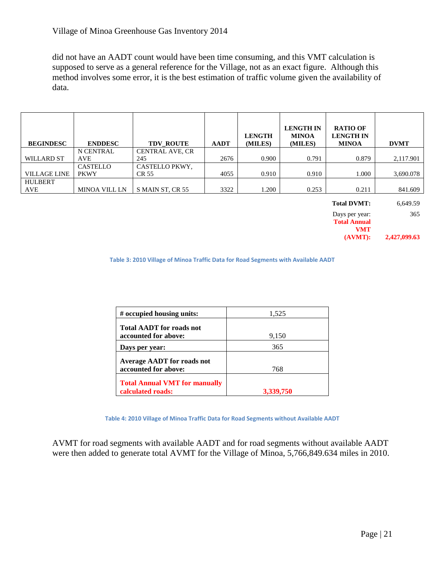did not have an AADT count would have been time consuming, and this VMT calculation is supposed to serve as a general reference for the Village, not as an exact figure. Although this method involves some error, it is the best estimation of traffic volume given the availability of data.

| <b>BEGINDESC</b>    | <b>ENDDESC</b>       | <b>TDV ROUTE</b>       | <b>AADT</b> | <b>LENGTH</b><br>(MILES) | <b>LENGTH IN</b><br><b>MINOA</b><br>(MILES) | <b>RATIO OF</b><br><b>LENGTH IN</b><br><b>MINOA</b> | <b>DVMT</b>                                        |
|---------------------|----------------------|------------------------|-------------|--------------------------|---------------------------------------------|-----------------------------------------------------|----------------------------------------------------|
|                     | N CENTRAL            | <b>CENTRAL AVE, CR</b> |             |                          |                                             |                                                     |                                                    |
| <b>WILLARD ST</b>   | <b>AVE</b>           | 245                    | 2676        | 0.900                    | 0.791                                       | 0.879                                               | 2,117.901                                          |
|                     | CASTELLO             | CASTELLO PKWY.         |             |                          |                                             |                                                     |                                                    |
| <b>VILLAGE LINE</b> | <b>PKWY</b>          | CR 55                  | 4055        | 0.910                    | 0.910                                       | 1.000                                               | 3,690.078                                          |
| <b>HULBERT</b>      |                      |                        |             |                          |                                             |                                                     |                                                    |
| AVE                 | <b>MINOA VILL LN</b> | S MAIN ST, CR 55       | 3322        | 1.200                    | 0.253                                       | 0.211                                               | 841.609                                            |
|                     |                      |                        |             |                          |                                             | $T1$ in the $T2$                                    | $\epsilon$ $\epsilon$ $\theta$ $\epsilon$ $\theta$ |

| <b>Total DVMT:</b>  | 6,649.59     |
|---------------------|--------------|
| Days per year:      | 365          |
| <b>Total Annual</b> |              |
| <b>VMT</b>          |              |
| (AVMT):             | 2,427,099.63 |

**Table 3: 2010 Village of Minoa Traffic Data for Road Segments with Available AADT**

| # occupied housing units:            | 1,525     |
|--------------------------------------|-----------|
| <b>Total AADT for roads not</b>      |           |
| accounted for above:                 | 9,150     |
| Days per year:                       | 365       |
| <b>Average AADT</b> for roads not    |           |
| accounted for above:                 | 768       |
| <b>Total Annual VMT for manually</b> |           |
| calculated roads:                    | 3,339,750 |

**Table 4: 2010 Village of Minoa Traffic Data for Road Segments without Available AADT**

AVMT for road segments with available AADT and for road segments without available AADT were then added to generate total AVMT for the Village of Minoa, 5,766,849.634 miles in 2010.